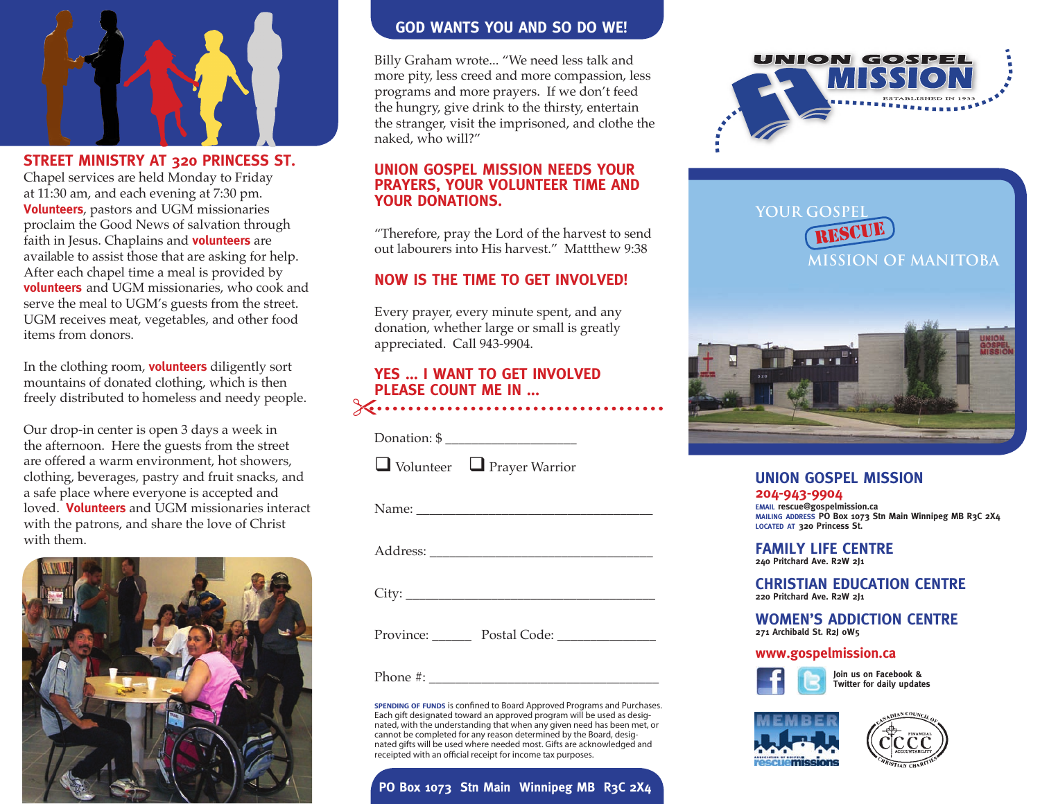

**STREET MINISTRY AT 320 PRINCESS ST.**  Chapel services are held Monday to Friday at 11:30 am, and each evening at 7:30 pm. **Volunteers**, pastors and UGM missionaries proclaim the Good News of salvation through faith in Jesus. Chaplains and **volunteers** are available to assist those that are asking for help. After each chapel time a meal is provided by **volunteers** and UGM missionaries, who cook and serve the meal to UGM's guests from the street. UGM receives meat, vegetables, and other food items from donors.

In the clothing room, **volunteers** diligently sort mountains of donated clothing, which is then freely distributed to homeless and needy people.

Our drop-in center is open 3 days a week in the afternoon. Here the guests from the street are offered a warm environment, hot showers, clothing, beverages, pastry and fruit snacks, and a safe place where everyone is accepted and loved. **Volunteers** and UGM missionaries interact with the patrons, and share the love of Christ with them.



## **GOD WANTS YOU AND SO DO WE!**

Billy Graham wrote... "We need less talk and more pity, less creed and more compassion, less programs and more prayers. If we don't feed the hungry, give drink to the thirsty, entertain the stranger, visit the imprisoned, and clothe the naked, who will?"

## **UNION GOSPEL MISSION NEEDS YOUR PRAYERS, YOUR VOLUNTEER TIME AND YOUR DONATIONS.**

"Therefore, pray the Lord of the harvest to send out labourers into His harvest." Mattthew 9:38

## **NOW IS THE TIME TO GET INVOLVED!**

Every prayer, every minute spent, and any donation, whether large or small is greatly appreciated. Call 943-9904.

# **YES ... I WANT TO GET INVOLVED PLEASE COUNT ME IN ...**

Donation: \$ \_\_\_\_\_\_\_\_\_\_\_\_\_\_\_\_\_\_\_\_

 $\Box$  Volunteer  $\Box$  Prayer Warrior

Name: \_\_\_\_\_\_\_\_\_\_\_\_\_\_\_\_\_\_\_\_\_\_\_\_\_\_\_\_\_\_\_\_\_\_\_\_

Address:

City: \_\_\_\_\_\_\_\_\_\_\_\_\_\_\_\_\_\_\_\_\_\_\_\_\_\_\_\_\_\_\_\_\_\_\_\_\_\_

Province: Dostal Code: Dostal Code:

Phone #: \_\_\_\_\_\_\_\_\_\_\_\_\_\_\_\_\_\_\_\_\_\_\_\_\_\_\_\_\_\_\_\_\_\_\_

**spending of funds** is confined to Board Approved Programs and Purchases. Each gift designated toward an approved program will be used as desig-nated, with the understanding that when any given need has been met, or cannot be completed for any reason determined by the Board, designated gifts will be used where needed most. Gifts are acknowledged and receipted with an official receipt for income tax purposes.

# **PO Box 1073 Stn Main Winnipeg MB R3C 2X4**



**YOUR GOSPEL MISSION OF MANITOBA** RESCUE



# **UNION GOSPEL MISSION**

**204-943-9904 email rescue@gospelmission.ca mailing address PO Box 1073 Stn Main Winnipeg MB R3C 2X4 located at 320 Princess St.**

**FAMILY LIFE CENTRE 240 Pritchard Ave. R2W 2J1**

#### **CHRISTIAN EDUCATION CENTRE 220 Pritchard Ave. R2W 2J1**

**WOMEN'S ADDICTION CENTRE 271 Archibald St. R2J 0W5**

#### **www.gospelmission.ca**



 **Join us on Facebook & Twitter for daily updates**